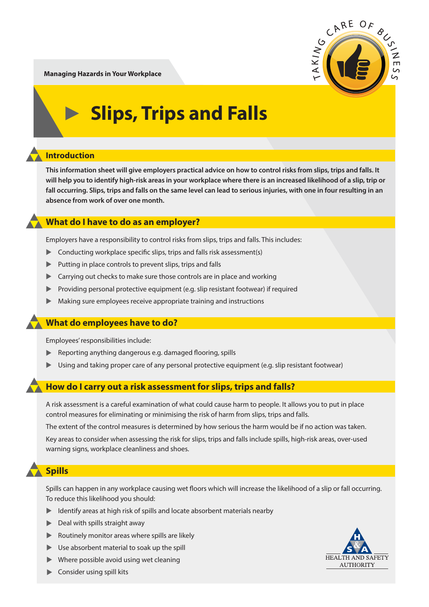

**Managing Hazards in Your Workplace**

# **Slips, Trips and Falls**

### **Introduction**

**This information sheet will give employers practical advice on how to control risks from slips, trips and falls. It will help you to identify high-risk areas in your workplace where there is an increased likelihood of a slip, trip or fall occurring. Slips, trips and falls on the same level can lead to serious injuries, with one in four resulting in an absence from work of over one month.** 

### **What do I have to do as an employer?**

Employers have a responsibility to control risks from slips, trips and falls. This includes:

- Conducting workplace specific slips, trips and falls risk assessment(s)
- $\blacktriangleright$ Putting in place controls to prevent slips, trips and falls
- **EXEC** Carrying out checks to make sure those controls are in place and working
- $\blacktriangleright$ Providing personal protective equipment (e.g. slip resistant footwear) if required
- $\blacktriangleright$ Making sure employees receive appropriate training and instructions

### **What do employees have to do?**

Employees' responsibilities include:

- **EXECTE ADDET A** Reporting anything dangerous e.g. damaged flooring, spills
- ▲ Using and taking proper care of any personal protective equipment (e.g. slip resistant footwear)

#### **How do I carry out a risk assessment for slips, trips and falls?**

A risk assessment is a careful examination of what could cause harm to people. It allows you to put in place control measures for eliminating or minimising the risk of harm from slips, trips and falls.

The extent of the control measures is determined by how serious the harm would be if no action was taken.

Key areas to consider when assessing the risk for slips, trips and falls include spills, high-risk areas, over-used warning signs, workplace cleanliness and shoes.

### **Spills**

Spills can happen in any workplace causing wet floors which will increase the likelihood of a slip or fall occurring. To reduce this likelihood you should:

- ▲ Identify areas at high risk of spills and locate absorbent materials nearby
- **Deal with spills straight away**
- **Routinely monitor areas where spills are likely**
- ▲ Use absorbent material to soak up the spill
- $\blacktriangleright$  Where possible avoid using wet cleaning



**Exercise** Consider using spill kits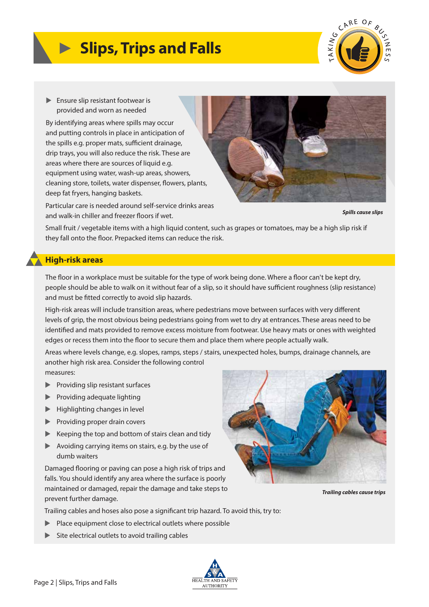# **Slips, Trips and Falls**



▶ Ensure slip resistant footwear is provided and worn as needed

By identifying areas where spills may occur and putting controls in place in anticipation of the spills e.g. proper mats, sufficient drainage, drip trays, you will also reduce the risk. These are areas where there are sources of liquid e.g. equipment using water, wash-up areas, showers, cleaning store, toilets, water dispenser, flowers, plants, deep fat fryers, hanging baskets.

Particular care is needed around self-service drinks areas and walk-in chiller and freezer floors if wet.



*Spills cause slips*

Small fruit / vegetable items with a high liquid content, such as grapes or tomatoes, may be a high slip risk if they fall onto the floor. Prepacked items can reduce the risk.

#### **High-risk areas**

The floor in a workplace must be suitable for the type of work being done. Where a floor can't be kept dry, people should be able to walk on it without fear of a slip, so it should have sufficient roughness (slip resistance) and must be fitted correctly to avoid slip hazards.

High-risk areas will include transition areas, where pedestrians move between surfaces with very different levels of grip, the most obvious being pedestrians going from wet to dry at entrances. These areas need to be identified and mats provided to remove excess moisture from footwear. Use heavy mats or ones with weighted edges or recess them into the floor to secure them and place them where people actually walk.

Areas where levels change, e.g. slopes, ramps, steps / stairs, unexpected holes, bumps, drainage channels, are another high risk area. Consider the following control

measures:

- **Providing slip resistant surfaces**
- **Providing adequate lighting**
- ▲ Highlighting changes in level
- **Exercise 1** Providing proper drain covers
- ▶ Keeping the top and bottom of stairs clean and tidy
- ▲ Avoiding carrying items on stairs, e.g. by the use of dumb waiters

Damaged flooring or paving can pose a high risk of trips and falls. You should identify any area where the surface is poorly maintained or damaged, repair the damage and take steps to prevent further damage.



- ▲ Place equipment close to electrical outlets where possible
- ▲ Site electrical outlets to avoid trailing cables



*Trailing cables cause trips* 

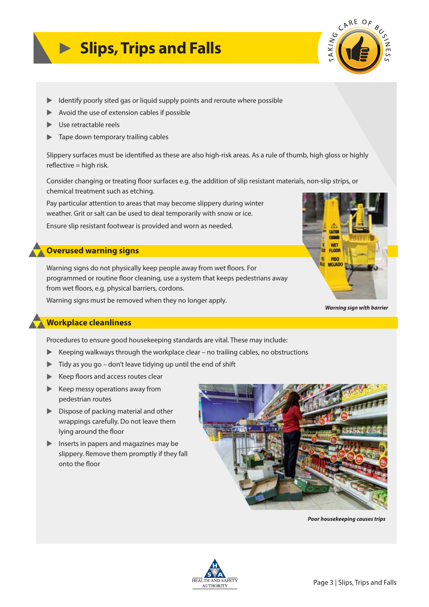## **Slips, Trips and Falls**



- **EXED IDENTIFY STATES IS A UPS ATTE:** Identify points and reroute where possible
- ▲ Avoid the use of extension cables if possible
- ▲ Use retractable reels
- $\blacktriangleright$ Tape down temporary trailing cables

Slippery surfaces must be identified as these are also high-risk areas. As a rule of thumb, high gloss or highly  $reflective = high risk.$ 

Consider changing or treating floor surfaces e.g. the addition of slip resistant materials, non-slip strips, or chemical treatment such as etching.

Pay particular attention to areas that may become slippery during winter weather. Grit or salt can be used to deal temporarily with snow or ice. Ensure slip resistant footwear is provided and worn as needed.

#### **Overused warning signs**

Warning signs do not physically keep people away from wet floors. For programmed or routine floor cleaning, use a system that keeps pedestrians away from wet floors, e.g. physical barriers, cordons.

Warning signs must be removed when they no longer apply.



*Warning sign with barrier*

#### **Workplace cleanliness**

Procedures to ensure good housekeeping standards are vital. These may include:

- $\blacktriangleright$  Keeping walkways through the workplace clear no trailing cables, no obstructions
- ▲ Tidy as you go don't leave tidying up until the end of shift
- ▶ Keep floors and access routes clear
- ▶ Keep messy operations away from pedestrian routes
- **EX Dispose of packing material and other**  wrappings carefully. Do not leave them lying around the floor
- **Inserts in papers and magazines may be**  slippery. Remove them promptly if they fall onto the floor



*Poor housekeeping causes trips*